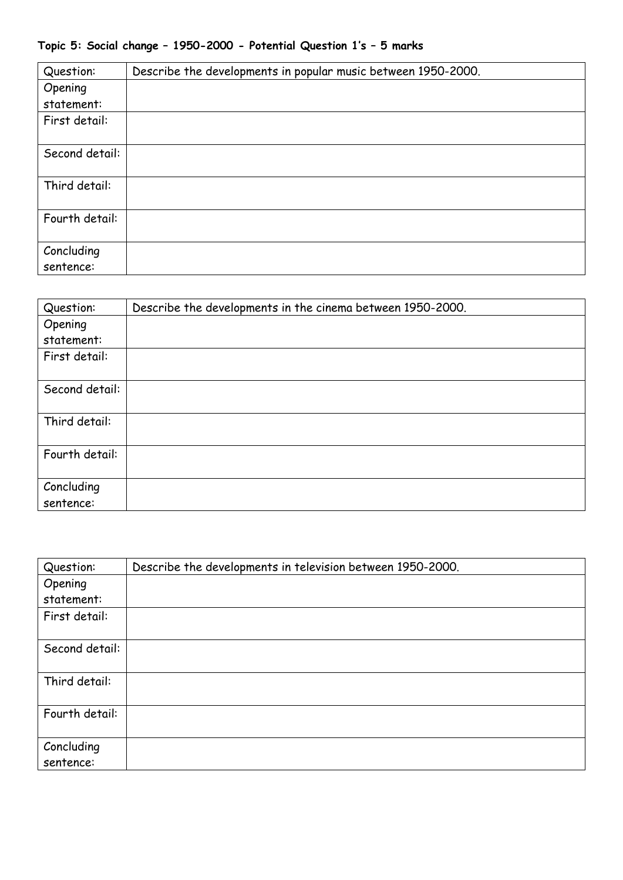## **Topic 5: Social change – 1950-2000 - Potential Question 1's – 5 marks**

| Question:               | Describe the developments in popular music between 1950-2000. |
|-------------------------|---------------------------------------------------------------|
| Opening                 |                                                               |
| statement:              |                                                               |
| First detail:           |                                                               |
| Second detail:          |                                                               |
| Third detail:           |                                                               |
| Fourth detail:          |                                                               |
| Concluding<br>sentence: |                                                               |

| Question:               | Describe the developments in the cinema between 1950-2000. |
|-------------------------|------------------------------------------------------------|
| Opening                 |                                                            |
| statement:              |                                                            |
| First detail:           |                                                            |
| Second detail:          |                                                            |
| Third detail:           |                                                            |
| Fourth detail:          |                                                            |
| Concluding<br>sentence: |                                                            |

| Question:      | Describe the developments in television between 1950-2000. |
|----------------|------------------------------------------------------------|
| Opening        |                                                            |
| statement:     |                                                            |
| First detail:  |                                                            |
|                |                                                            |
| Second detail: |                                                            |
|                |                                                            |
| Third detail:  |                                                            |
|                |                                                            |
| Fourth detail: |                                                            |
|                |                                                            |
| Concluding     |                                                            |
| sentence:      |                                                            |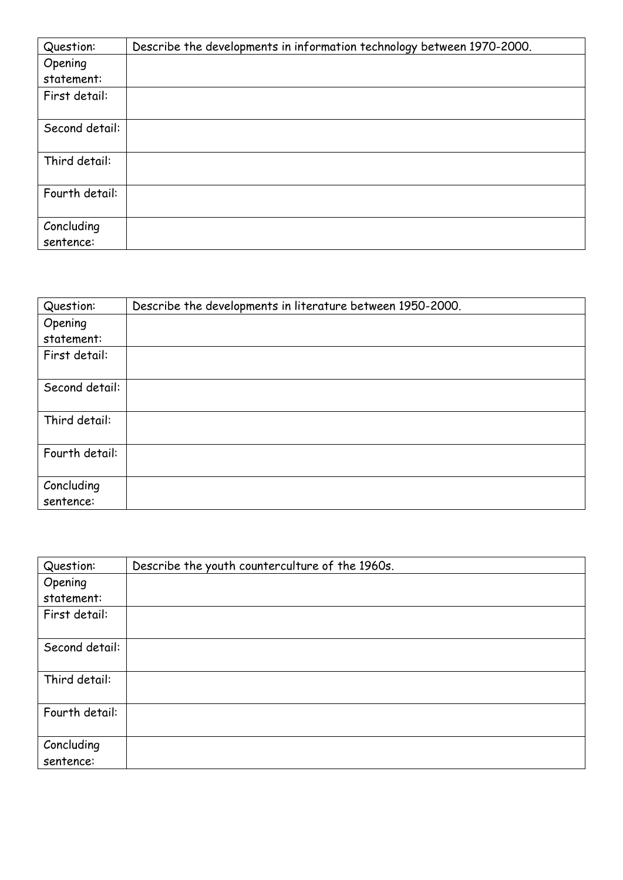| Question:      | Describe the developments in information technology between 1970-2000. |
|----------------|------------------------------------------------------------------------|
| Opening        |                                                                        |
| statement:     |                                                                        |
| First detail:  |                                                                        |
|                |                                                                        |
| Second detail: |                                                                        |
|                |                                                                        |
| Third detail:  |                                                                        |
|                |                                                                        |
| Fourth detail: |                                                                        |
|                |                                                                        |
| Concluding     |                                                                        |
| sentence:      |                                                                        |

| Question:               | Describe the developments in literature between 1950-2000. |
|-------------------------|------------------------------------------------------------|
| Opening                 |                                                            |
| statement:              |                                                            |
| First detail:           |                                                            |
| Second detail:          |                                                            |
| Third detail:           |                                                            |
| Fourth detail:          |                                                            |
| Concluding<br>sentence: |                                                            |

| Question:               | Describe the youth counterculture of the 1960s. |
|-------------------------|-------------------------------------------------|
| Opening                 |                                                 |
| statement:              |                                                 |
| First detail:           |                                                 |
| Second detail:          |                                                 |
| Third detail:           |                                                 |
| Fourth detail:          |                                                 |
| Concluding<br>sentence: |                                                 |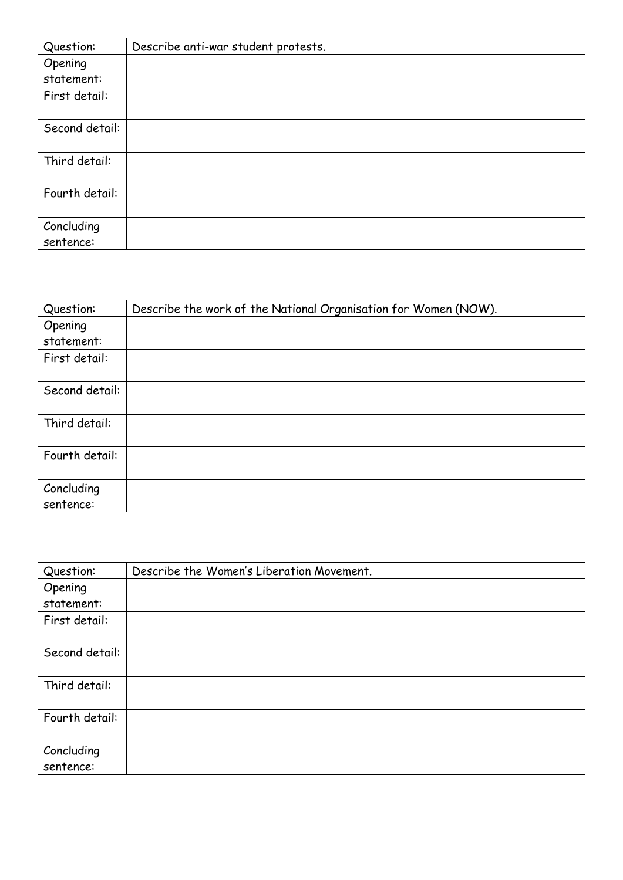| Question:      | Describe anti-war student protests. |
|----------------|-------------------------------------|
| Opening        |                                     |
| statement:     |                                     |
| First detail:  |                                     |
|                |                                     |
| Second detail: |                                     |
|                |                                     |
| Third detail:  |                                     |
|                |                                     |
| Fourth detail: |                                     |
|                |                                     |
| Concluding     |                                     |
| sentence:      |                                     |

| Question:               | Describe the work of the National Organisation for Women (NOW). |
|-------------------------|-----------------------------------------------------------------|
| Opening                 |                                                                 |
| statement:              |                                                                 |
| First detail:           |                                                                 |
| Second detail:          |                                                                 |
| Third detail:           |                                                                 |
| Fourth detail:          |                                                                 |
| Concluding<br>sentence: |                                                                 |

| Question:               | Describe the Women's Liberation Movement. |
|-------------------------|-------------------------------------------|
| Opening                 |                                           |
| statement:              |                                           |
| First detail:           |                                           |
| Second detail:          |                                           |
| Third detail:           |                                           |
| Fourth detail:          |                                           |
| Concluding<br>sentence: |                                           |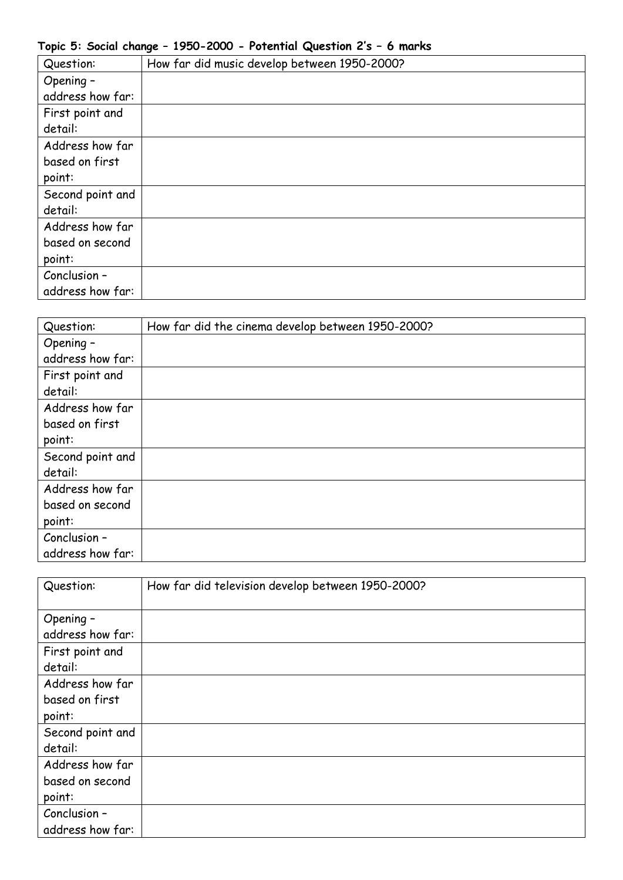## **Topic 5: Social change – 1950-2000 - Potential Question 2's – 6 marks**

| Question:        | How far did music develop between 1950-2000? |
|------------------|----------------------------------------------|
| Opening -        |                                              |
| address how far: |                                              |
| First point and  |                                              |
| detail:          |                                              |
| Address how far  |                                              |
| based on first   |                                              |
| point:           |                                              |
| Second point and |                                              |
| detail:          |                                              |
| Address how far  |                                              |
| based on second  |                                              |
| point:           |                                              |
| Conclusion -     |                                              |
| address how far: |                                              |

| Question:        | How far did the cinema develop between 1950-2000? |
|------------------|---------------------------------------------------|
| Opening -        |                                                   |
| address how far: |                                                   |
| First point and  |                                                   |
| detail:          |                                                   |
| Address how far  |                                                   |
| based on first   |                                                   |
| point:           |                                                   |
| Second point and |                                                   |
| detail:          |                                                   |
| Address how far  |                                                   |
| based on second  |                                                   |
| point:           |                                                   |
| Conclusion -     |                                                   |
| address how far: |                                                   |

| Question:        | How far did television develop between 1950-2000? |
|------------------|---------------------------------------------------|
|                  |                                                   |
| Opening -        |                                                   |
| address how far: |                                                   |
| First point and  |                                                   |
| detail:          |                                                   |
| Address how far  |                                                   |
| based on first   |                                                   |
| point:           |                                                   |
| Second point and |                                                   |
| detail:          |                                                   |
| Address how far  |                                                   |
| based on second  |                                                   |
| point:           |                                                   |
| Conclusion -     |                                                   |
| address how far: |                                                   |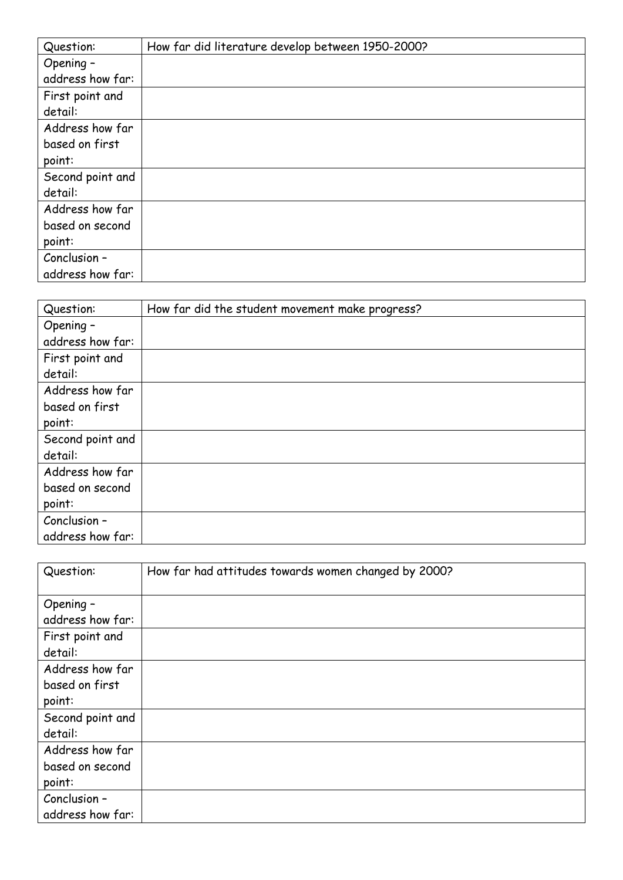| Question:        | How far did literature develop between 1950-2000? |
|------------------|---------------------------------------------------|
| Opening -        |                                                   |
| address how far: |                                                   |
| First point and  |                                                   |
| detail:          |                                                   |
| Address how far  |                                                   |
| based on first   |                                                   |
| point:           |                                                   |
| Second point and |                                                   |
| detail:          |                                                   |
| Address how far  |                                                   |
| based on second  |                                                   |
| point:           |                                                   |
| Conclusion -     |                                                   |
| address how far: |                                                   |

| Question:        | How far did the student movement make progress? |
|------------------|-------------------------------------------------|
| Opening -        |                                                 |
| address how far: |                                                 |
| First point and  |                                                 |
| detail:          |                                                 |
| Address how far  |                                                 |
| based on first   |                                                 |
| point:           |                                                 |
| Second point and |                                                 |
| detail:          |                                                 |
| Address how far  |                                                 |
| based on second  |                                                 |
| point:           |                                                 |
| Conclusion -     |                                                 |
| address how far: |                                                 |

| Question:        | How far had attitudes towards women changed by 2000? |
|------------------|------------------------------------------------------|
| Opening -        |                                                      |
| address how far: |                                                      |
| First point and  |                                                      |
| detail:          |                                                      |
| Address how far  |                                                      |
| based on first   |                                                      |
| point:           |                                                      |
| Second point and |                                                      |
| detail:          |                                                      |
| Address how far  |                                                      |
| based on second  |                                                      |
| point:           |                                                      |
| Conclusion -     |                                                      |
| address how far: |                                                      |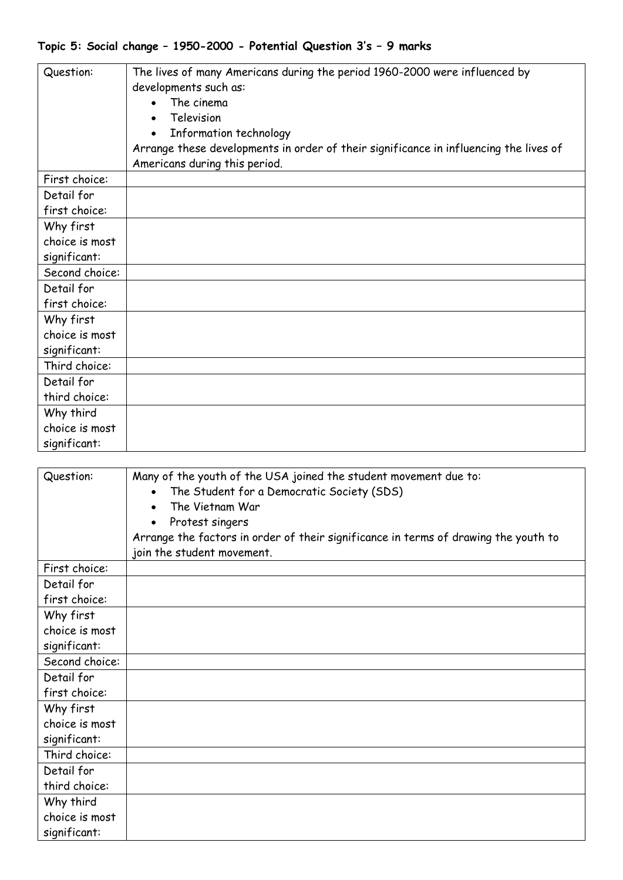| Question:      | The lives of many Americans during the period 1960-2000 were influenced by<br>developments such as:<br>The cinema<br>Television<br>Information technology<br>Arrange these developments in order of their significance in influencing the lives of<br>Americans during this period. |
|----------------|-------------------------------------------------------------------------------------------------------------------------------------------------------------------------------------------------------------------------------------------------------------------------------------|
| First choice:  |                                                                                                                                                                                                                                                                                     |
| Detail for     |                                                                                                                                                                                                                                                                                     |
| first choice:  |                                                                                                                                                                                                                                                                                     |
| Why first      |                                                                                                                                                                                                                                                                                     |
| choice is most |                                                                                                                                                                                                                                                                                     |
| significant:   |                                                                                                                                                                                                                                                                                     |
| Second choice: |                                                                                                                                                                                                                                                                                     |
| Detail for     |                                                                                                                                                                                                                                                                                     |
| first choice:  |                                                                                                                                                                                                                                                                                     |
| Why first      |                                                                                                                                                                                                                                                                                     |
| choice is most |                                                                                                                                                                                                                                                                                     |
| significant:   |                                                                                                                                                                                                                                                                                     |
| Third choice:  |                                                                                                                                                                                                                                                                                     |
| Detail for     |                                                                                                                                                                                                                                                                                     |
| third choice:  |                                                                                                                                                                                                                                                                                     |
| Why third      |                                                                                                                                                                                                                                                                                     |
| choice is most |                                                                                                                                                                                                                                                                                     |
| significant:   |                                                                                                                                                                                                                                                                                     |

| Question:      | Many of the youth of the USA joined the student movement due to:                    |
|----------------|-------------------------------------------------------------------------------------|
|                | The Student for a Democratic Society (SDS)<br>The Vietnam War                       |
|                |                                                                                     |
|                | Protest singers                                                                     |
|                | Arrange the factors in order of their significance in terms of drawing the youth to |
|                | join the student movement.                                                          |
| First choice:  |                                                                                     |
| Detail for     |                                                                                     |
| first choice:  |                                                                                     |
| Why first      |                                                                                     |
| choice is most |                                                                                     |
| significant:   |                                                                                     |
| Second choice: |                                                                                     |
| Detail for     |                                                                                     |
| first choice:  |                                                                                     |
| Why first      |                                                                                     |
| choice is most |                                                                                     |
| significant:   |                                                                                     |
| Third choice:  |                                                                                     |
| Detail for     |                                                                                     |
| third choice:  |                                                                                     |
| Why third      |                                                                                     |
| choice is most |                                                                                     |
| significant:   |                                                                                     |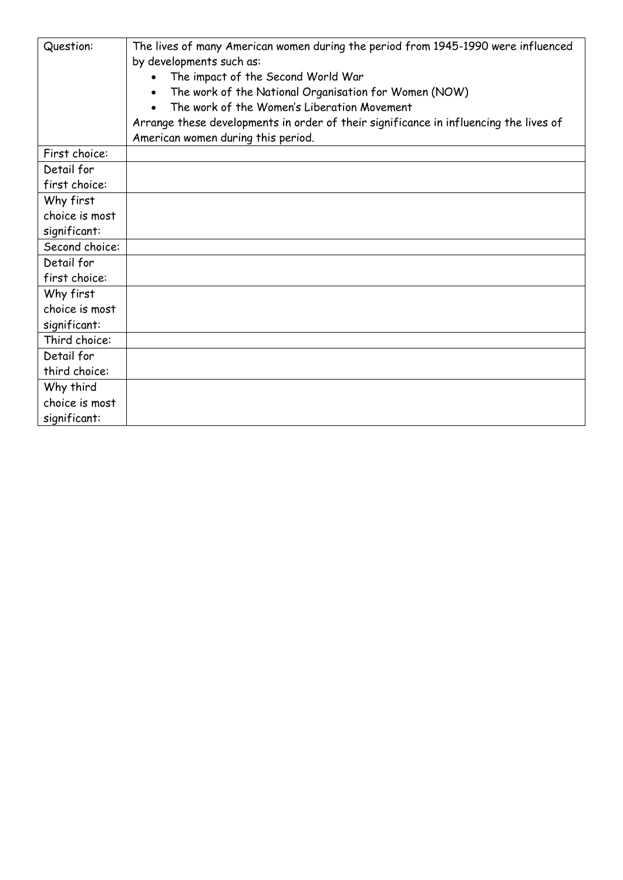| Question:      | The lives of many American women during the period from 1945-1990 were influenced<br>by developments such as:<br>The impact of the Second World War<br>The work of the National Organisation for Women (NOW)<br>The work of the Women's Liberation Movement<br>Arrange these developments in order of their significance in influencing the lives of<br>American women during this period. |
|----------------|--------------------------------------------------------------------------------------------------------------------------------------------------------------------------------------------------------------------------------------------------------------------------------------------------------------------------------------------------------------------------------------------|
| First choice:  |                                                                                                                                                                                                                                                                                                                                                                                            |
| Detail for     |                                                                                                                                                                                                                                                                                                                                                                                            |
| first choice:  |                                                                                                                                                                                                                                                                                                                                                                                            |
| Why first      |                                                                                                                                                                                                                                                                                                                                                                                            |
| choice is most |                                                                                                                                                                                                                                                                                                                                                                                            |
| significant:   |                                                                                                                                                                                                                                                                                                                                                                                            |
| Second choice: |                                                                                                                                                                                                                                                                                                                                                                                            |
| Detail for     |                                                                                                                                                                                                                                                                                                                                                                                            |
| first choice:  |                                                                                                                                                                                                                                                                                                                                                                                            |
| Why first      |                                                                                                                                                                                                                                                                                                                                                                                            |
| choice is most |                                                                                                                                                                                                                                                                                                                                                                                            |
| significant:   |                                                                                                                                                                                                                                                                                                                                                                                            |
| Third choice:  |                                                                                                                                                                                                                                                                                                                                                                                            |
| Detail for     |                                                                                                                                                                                                                                                                                                                                                                                            |
| third choice:  |                                                                                                                                                                                                                                                                                                                                                                                            |
| Why third      |                                                                                                                                                                                                                                                                                                                                                                                            |
| choice is most |                                                                                                                                                                                                                                                                                                                                                                                            |
| significant:   |                                                                                                                                                                                                                                                                                                                                                                                            |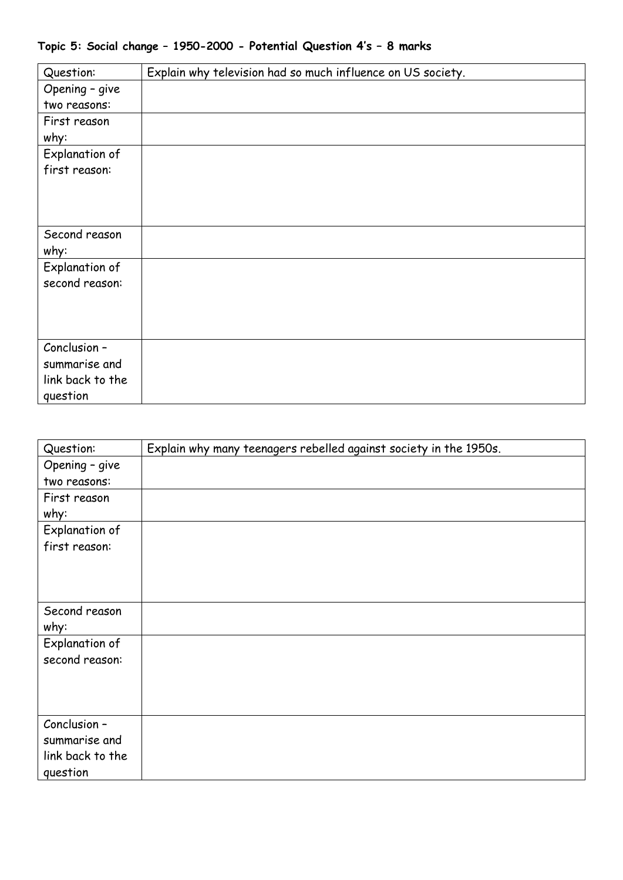## **Topic 5: Social change – 1950-2000 - Potential Question 4's – 8 marks**

| Question:        | Explain why television had so much influence on US society. |
|------------------|-------------------------------------------------------------|
| Opening - give   |                                                             |
| two reasons:     |                                                             |
| First reason     |                                                             |
| why:             |                                                             |
| Explanation of   |                                                             |
| first reason:    |                                                             |
|                  |                                                             |
|                  |                                                             |
|                  |                                                             |
| Second reason    |                                                             |
| why:             |                                                             |
| Explanation of   |                                                             |
| second reason:   |                                                             |
|                  |                                                             |
|                  |                                                             |
|                  |                                                             |
| Conclusion -     |                                                             |
| summarise and    |                                                             |
| link back to the |                                                             |
| question         |                                                             |

| Question:        | Explain why many teenagers rebelled against society in the 1950s. |
|------------------|-------------------------------------------------------------------|
| Opening - give   |                                                                   |
| two reasons:     |                                                                   |
| First reason     |                                                                   |
| why:             |                                                                   |
| Explanation of   |                                                                   |
| first reason:    |                                                                   |
|                  |                                                                   |
|                  |                                                                   |
|                  |                                                                   |
| Second reason    |                                                                   |
| why:             |                                                                   |
| Explanation of   |                                                                   |
| second reason:   |                                                                   |
|                  |                                                                   |
|                  |                                                                   |
|                  |                                                                   |
| Conclusion -     |                                                                   |
| summarise and    |                                                                   |
| link back to the |                                                                   |
| question         |                                                                   |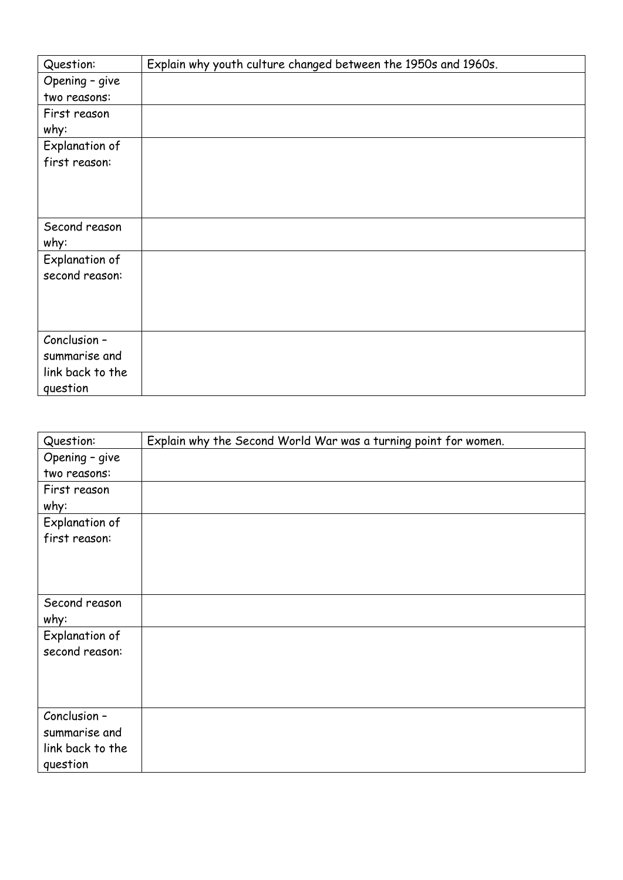| Question:        | Explain why youth culture changed between the 1950s and 1960s. |
|------------------|----------------------------------------------------------------|
| Opening - give   |                                                                |
| two reasons:     |                                                                |
| First reason     |                                                                |
| why:             |                                                                |
| Explanation of   |                                                                |
| first reason:    |                                                                |
|                  |                                                                |
|                  |                                                                |
|                  |                                                                |
| Second reason    |                                                                |
| why:             |                                                                |
| Explanation of   |                                                                |
| second reason:   |                                                                |
|                  |                                                                |
|                  |                                                                |
|                  |                                                                |
| Conclusion -     |                                                                |
| summarise and    |                                                                |
| link back to the |                                                                |
| question         |                                                                |

| Question:        | Explain why the Second World War was a turning point for women. |
|------------------|-----------------------------------------------------------------|
| Opening - give   |                                                                 |
| two reasons:     |                                                                 |
| First reason     |                                                                 |
| why:             |                                                                 |
| Explanation of   |                                                                 |
| first reason:    |                                                                 |
|                  |                                                                 |
|                  |                                                                 |
|                  |                                                                 |
| Second reason    |                                                                 |
| why:             |                                                                 |
| Explanation of   |                                                                 |
| second reason:   |                                                                 |
|                  |                                                                 |
|                  |                                                                 |
|                  |                                                                 |
| Conclusion -     |                                                                 |
| summarise and    |                                                                 |
| link back to the |                                                                 |
| question         |                                                                 |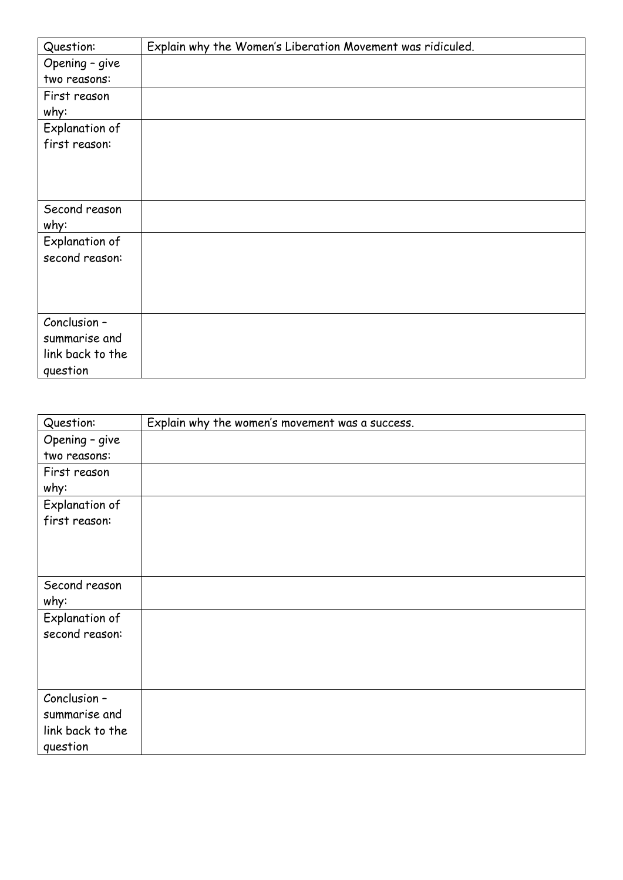| Question:        | Explain why the Women's Liberation Movement was ridiculed. |
|------------------|------------------------------------------------------------|
| Opening - give   |                                                            |
| two reasons:     |                                                            |
| First reason     |                                                            |
| why:             |                                                            |
| Explanation of   |                                                            |
| first reason:    |                                                            |
|                  |                                                            |
|                  |                                                            |
|                  |                                                            |
| Second reason    |                                                            |
| why:             |                                                            |
| Explanation of   |                                                            |
| second reason:   |                                                            |
|                  |                                                            |
|                  |                                                            |
|                  |                                                            |
| Conclusion -     |                                                            |
| summarise and    |                                                            |
| link back to the |                                                            |
| question         |                                                            |

| Question:        | Explain why the women's movement was a success. |
|------------------|-------------------------------------------------|
| Opening - give   |                                                 |
| two reasons:     |                                                 |
| First reason     |                                                 |
| why:             |                                                 |
| Explanation of   |                                                 |
| first reason:    |                                                 |
|                  |                                                 |
|                  |                                                 |
|                  |                                                 |
| Second reason    |                                                 |
| why:             |                                                 |
| Explanation of   |                                                 |
| second reason:   |                                                 |
|                  |                                                 |
|                  |                                                 |
|                  |                                                 |
| Conclusion -     |                                                 |
| summarise and    |                                                 |
| link back to the |                                                 |
| question         |                                                 |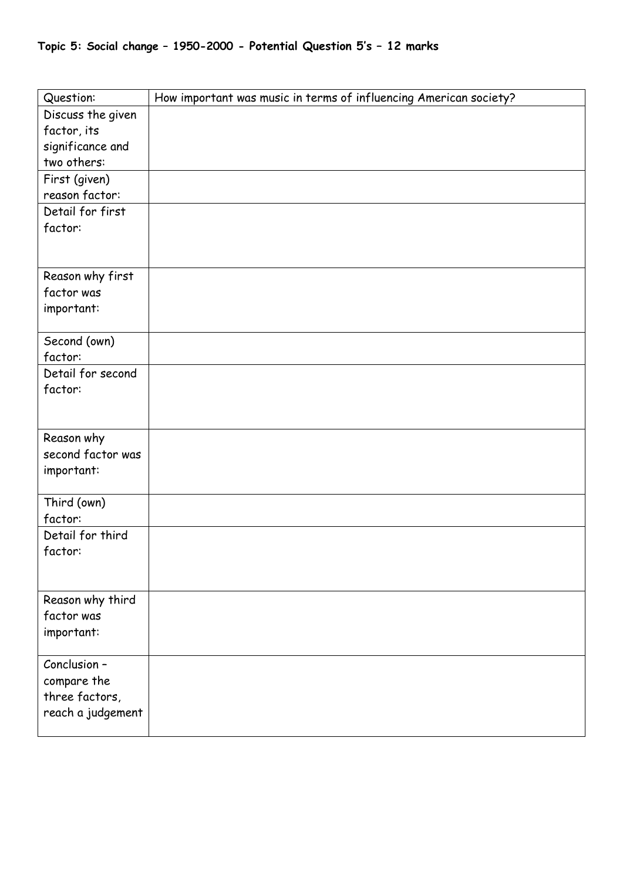| Topic 5: Social change - 1950-2000 - Potential Question 5's - 12 marks |  |  |  |  |  |  |
|------------------------------------------------------------------------|--|--|--|--|--|--|
|------------------------------------------------------------------------|--|--|--|--|--|--|

| Question:                           | How important was music in terms of influencing American society? |
|-------------------------------------|-------------------------------------------------------------------|
| Discuss the given                   |                                                                   |
| factor, its                         |                                                                   |
| significance and                    |                                                                   |
| two others:                         |                                                                   |
| First (given)                       |                                                                   |
| reason factor:                      |                                                                   |
| Detail for first                    |                                                                   |
| factor:                             |                                                                   |
|                                     |                                                                   |
|                                     |                                                                   |
| Reason why first                    |                                                                   |
| factor was                          |                                                                   |
| important:                          |                                                                   |
|                                     |                                                                   |
| Second (own)                        |                                                                   |
| factor:                             |                                                                   |
| Detail for second                   |                                                                   |
| factor:                             |                                                                   |
|                                     |                                                                   |
| Reason why                          |                                                                   |
| second factor was                   |                                                                   |
| important:                          |                                                                   |
|                                     |                                                                   |
| Third (own)                         |                                                                   |
| factor:                             |                                                                   |
| Detail for third                    |                                                                   |
| factor:                             |                                                                   |
|                                     |                                                                   |
|                                     |                                                                   |
| Reason why third                    |                                                                   |
| factor was                          |                                                                   |
| important:                          |                                                                   |
|                                     |                                                                   |
| Conclusion -                        |                                                                   |
| compare the                         |                                                                   |
| three factors,<br>reach a judgement |                                                                   |
|                                     |                                                                   |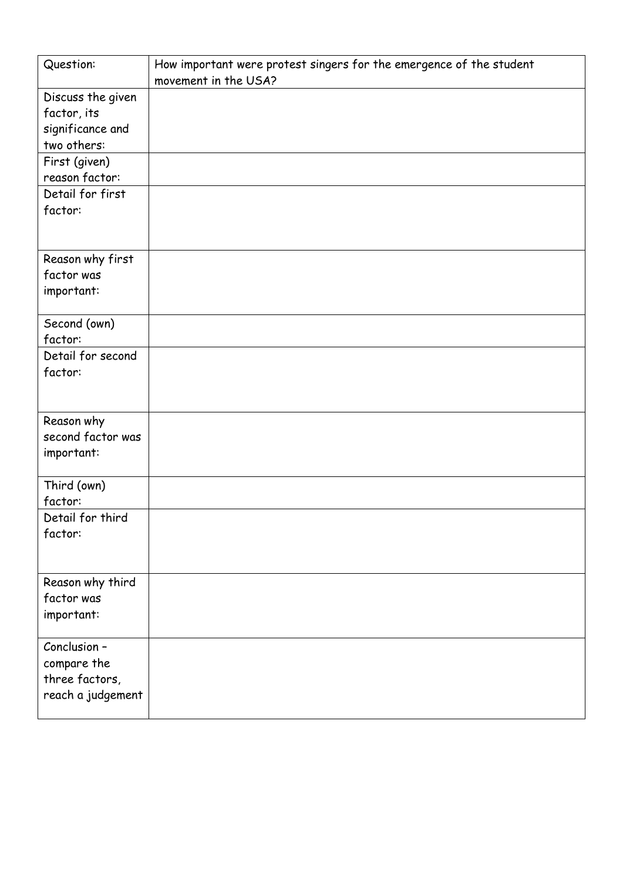| Question:         | How important were protest singers for the emergence of the student<br>movement in the USA? |
|-------------------|---------------------------------------------------------------------------------------------|
| Discuss the given |                                                                                             |
| factor, its       |                                                                                             |
| significance and  |                                                                                             |
| two others:       |                                                                                             |
| First (given)     |                                                                                             |
| reason factor:    |                                                                                             |
| Detail for first  |                                                                                             |
| factor:           |                                                                                             |
|                   |                                                                                             |
| Reason why first  |                                                                                             |
| factor was        |                                                                                             |
| important:        |                                                                                             |
|                   |                                                                                             |
| Second (own)      |                                                                                             |
| factor:           |                                                                                             |
| Detail for second |                                                                                             |
| factor:           |                                                                                             |
|                   |                                                                                             |
| Reason why        |                                                                                             |
| second factor was |                                                                                             |
| important:        |                                                                                             |
|                   |                                                                                             |
| Third (own)       |                                                                                             |
| factor:           |                                                                                             |
| Detail for third  |                                                                                             |
| factor:           |                                                                                             |
|                   |                                                                                             |
| Reason why third  |                                                                                             |
| factor was        |                                                                                             |
| important:        |                                                                                             |
|                   |                                                                                             |
| Conclusion -      |                                                                                             |
| compare the       |                                                                                             |
| three factors,    |                                                                                             |
| reach a judgement |                                                                                             |
|                   |                                                                                             |